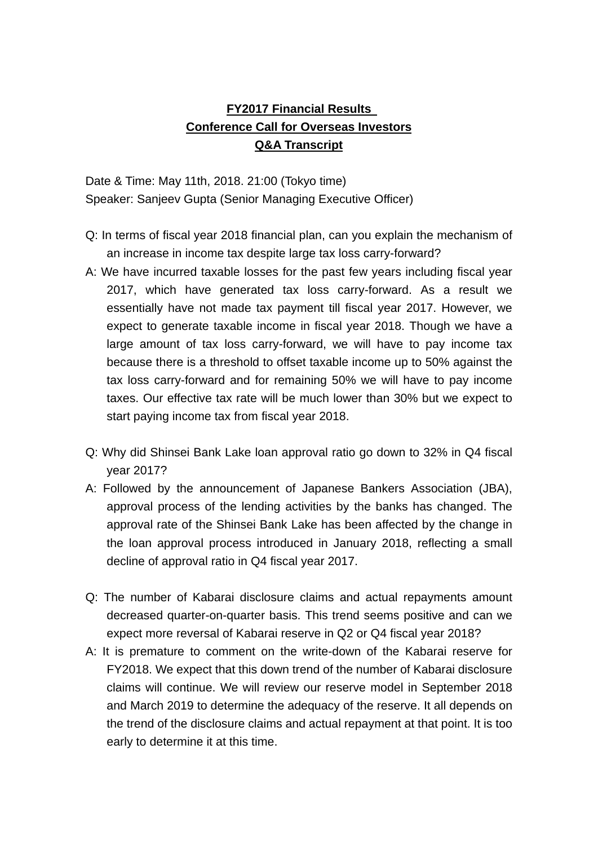## **FY2017 Financial Results Conference Call for Overseas Investors Q&A Transcript**

Date & Time: May 11th, 2018. 21:00 (Tokyo time) Speaker: Sanjeev Gupta (Senior Managing Executive Officer)

- Q: In terms of fiscal year 2018 financial plan, can you explain the mechanism of an increase in income tax despite large tax loss carry-forward?
- A: We have incurred taxable losses for the past few years including fiscal year 2017, which have generated tax loss carry-forward. As a result we essentially have not made tax payment till fiscal year 2017. However, we expect to generate taxable income in fiscal year 2018. Though we have a large amount of tax loss carry-forward, we will have to pay income tax because there is a threshold to offset taxable income up to 50% against the tax loss carry-forward and for remaining 50% we will have to pay income taxes. Our effective tax rate will be much lower than 30% but we expect to start paying income tax from fiscal year 2018.
- Q: Why did Shinsei Bank Lake loan approval ratio go down to 32% in Q4 fiscal year 2017?
- A: Followed by the announcement of Japanese Bankers Association (JBA), approval process of the lending activities by the banks has changed. The approval rate of the Shinsei Bank Lake has been affected by the change in the loan approval process introduced in January 2018, reflecting a small decline of approval ratio in Q4 fiscal year 2017.
- Q: The number of Kabarai disclosure claims and actual repayments amount decreased quarter-on-quarter basis. This trend seems positive and can we expect more reversal of Kabarai reserve in Q2 or Q4 fiscal year 2018?
- A: It is premature to comment on the write-down of the Kabarai reserve for FY2018. We expect that this down trend of the number of Kabarai disclosure claims will continue. We will review our reserve model in September 2018 and March 2019 to determine the adequacy of the reserve. It all depends on the trend of the disclosure claims and actual repayment at that point. It is too early to determine it at this time.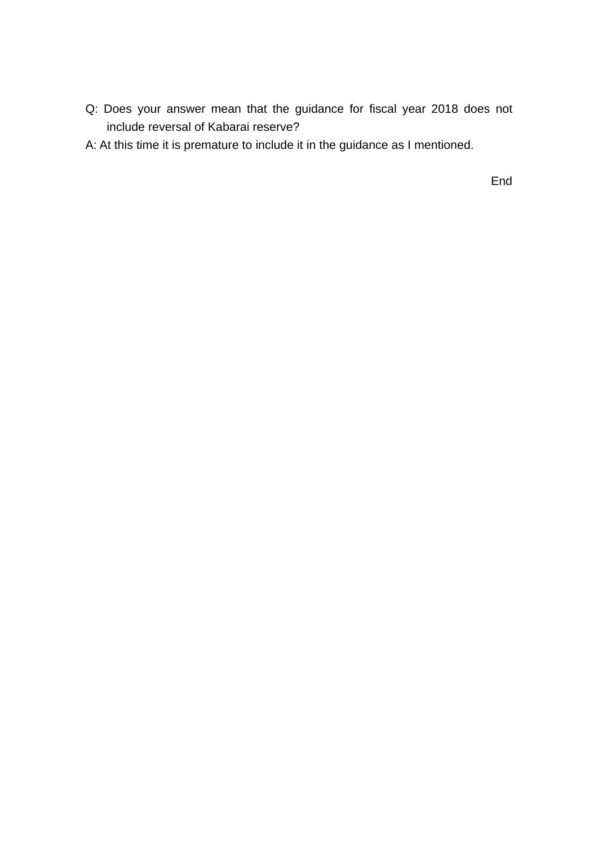- Q: Does your answer mean that the guidance for fiscal year 2018 does not include reversal of Kabarai reserve?
- A: At this time it is premature to include it in the guidance as I mentioned.

End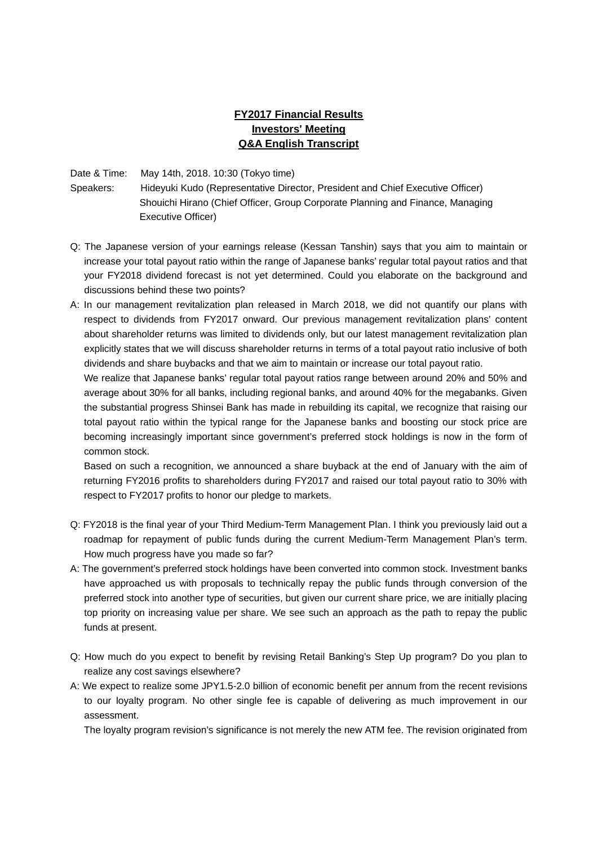## **FY2017 Financial Results Investors' Meeting Q&A English Transcript**

Date & Time: May 14th, 2018. 10:30 (Tokyo time)

Speakers: Hideyuki Kudo (Representative Director, President and Chief Executive Officer) Shouichi Hirano (Chief Officer, Group Corporate Planning and Finance, Managing Executive Officer)

- Q: The Japanese version of your earnings release (Kessan Tanshin) says that you aim to maintain or increase your total payout ratio within the range of Japanese banks' regular total payout ratios and that your FY2018 dividend forecast is not yet determined. Could you elaborate on the background and discussions behind these two points?
- A: In our management revitalization plan released in March 2018, we did not quantify our plans with respect to dividends from FY2017 onward. Our previous management revitalization plans' content about shareholder returns was limited to dividends only, but our latest management revitalization plan explicitly states that we will discuss shareholder returns in terms of a total payout ratio inclusive of both dividends and share buybacks and that we aim to maintain or increase our total payout ratio.

We realize that Japanese banks' regular total payout ratios range between around 20% and 50% and average about 30% for all banks, including regional banks, and around 40% for the megabanks. Given the substantial progress Shinsei Bank has made in rebuilding its capital, we recognize that raising our total payout ratio within the typical range for the Japanese banks and boosting our stock price are becoming increasingly important since government's preferred stock holdings is now in the form of common stock.

Based on such a recognition, we announced a share buyback at the end of January with the aim of returning FY2016 profits to shareholders during FY2017 and raised our total payout ratio to 30% with respect to FY2017 profits to honor our pledge to markets.

- Q: FY2018 is the final year of your Third Medium-Term Management Plan. I think you previously laid out a roadmap for repayment of public funds during the current Medium-Term Management Plan's term. How much progress have you made so far?
- A: The government's preferred stock holdings have been converted into common stock. Investment banks have approached us with proposals to technically repay the public funds through conversion of the preferred stock into another type of securities, but given our current share price, we are initially placing top priority on increasing value per share. We see such an approach as the path to repay the public funds at present.
- Q: How much do you expect to benefit by revising Retail Banking's Step Up program? Do you plan to realize any cost savings elsewhere?
- A: We expect to realize some JPY1.5-2.0 billion of economic benefit per annum from the recent revisions to our loyalty program. No other single fee is capable of delivering as much improvement in our assessment.

The loyalty program revision's significance is not merely the new ATM fee. The revision originated from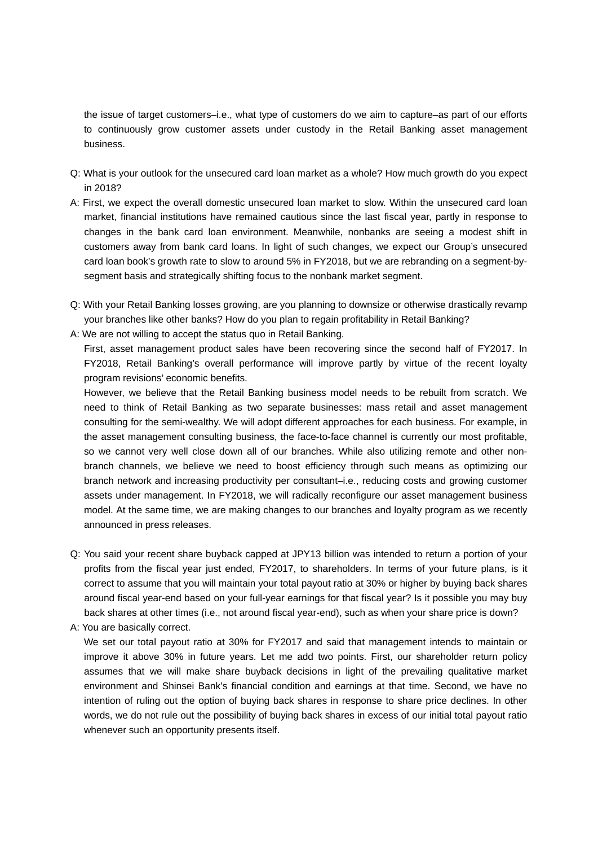the issue of target customers–i.e., what type of customers do we aim to capture–as part of our efforts to continuously grow customer assets under custody in the Retail Banking asset management business.

- Q: What is your outlook for the unsecured card loan market as a whole? How much growth do you expect in 2018?
- A: First, we expect the overall domestic unsecured loan market to slow. Within the unsecured card loan market, financial institutions have remained cautious since the last fiscal year, partly in response to changes in the bank card loan environment. Meanwhile, nonbanks are seeing a modest shift in customers away from bank card loans. In light of such changes, we expect our Group's unsecured card loan book's growth rate to slow to around 5% in FY2018, but we are rebranding on a segment-bysegment basis and strategically shifting focus to the nonbank market segment.
- Q: With your Retail Banking losses growing, are you planning to downsize or otherwise drastically revamp your branches like other banks? How do you plan to regain profitability in Retail Banking?
- A: We are not willing to accept the status quo in Retail Banking.

First, asset management product sales have been recovering since the second half of FY2017. In FY2018, Retail Banking's overall performance will improve partly by virtue of the recent loyalty program revisions' economic benefits.

However, we believe that the Retail Banking business model needs to be rebuilt from scratch. We need to think of Retail Banking as two separate businesses: mass retail and asset management consulting for the semi-wealthy. We will adopt different approaches for each business. For example, in the asset management consulting business, the face-to-face channel is currently our most profitable, so we cannot very well close down all of our branches. While also utilizing remote and other nonbranch channels, we believe we need to boost efficiency through such means as optimizing our branch network and increasing productivity per consultant–i.e., reducing costs and growing customer assets under management. In FY2018, we will radically reconfigure our asset management business model. At the same time, we are making changes to our branches and loyalty program as we recently announced in press releases.

- Q: You said your recent share buyback capped at JPY13 billion was intended to return a portion of your profits from the fiscal year just ended, FY2017, to shareholders. In terms of your future plans, is it correct to assume that you will maintain your total payout ratio at 30% or higher by buying back shares around fiscal year-end based on your full-year earnings for that fiscal year? Is it possible you may buy back shares at other times (i.e., not around fiscal year-end), such as when your share price is down?
- A: You are basically correct.

We set our total payout ratio at 30% for FY2017 and said that management intends to maintain or improve it above 30% in future years. Let me add two points. First, our shareholder return policy assumes that we will make share buyback decisions in light of the prevailing qualitative market environment and Shinsei Bank's financial condition and earnings at that time. Second, we have no intention of ruling out the option of buying back shares in response to share price declines. In other words, we do not rule out the possibility of buying back shares in excess of our initial total payout ratio whenever such an opportunity presents itself.